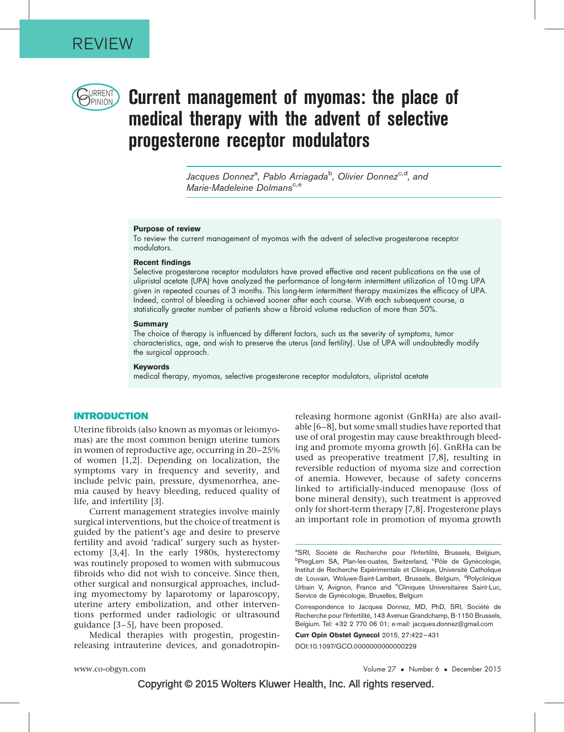

# $\bigcup_{\text{PINION}}$  Current management of myomas: the place of medical therapy with the advent of selective progesterone receptor modulators

Jacques Donnez<sup>a</sup>, Pablo Arriagada<sup>b</sup>, Olivier Donnez<sup>c,d</sup>, and Marie-Madeleine Dolmans<sup>c,e</sup>

#### Purpose of review

To review the current management of myomas with the advent of selective progesterone receptor modulators.

#### Recent findings

Selective progesterone receptor modulators have proved effective and recent publications on the use of ulipristal acetate (UPA) have analyzed the performance of long-term intermittent utilization of 10 mg UPA given in repeated courses of 3 months. This long-term intermittent therapy maximizes the efficacy of UPA. Indeed, control of bleeding is achieved sooner after each course. With each subsequent course, a statistically greater number of patients show a fibroid volume reduction of more than 50%.

## **Summary**

The choice of therapy is influenced by different factors, such as the severity of symptoms, tumor characteristics, age, and wish to preserve the uterus (and fertility). Use of UPA will undoubtedly modify the surgical approach.

#### Keywords

medical therapy, myomas, selective progesterone receptor modulators, ulipristal acetate

## INTRODUCTION

Uterine fibroids (also known as myomas or leiomyomas) are the most common benign uterine tumors in women of reproductive age, occurring in 20–25% of women [\[1,2\]](#page-8-0). Depending on localization, the symptoms vary in frequency and severity, and include pelvic pain, pressure, dysmenorrhea, anemia caused by heavy bleeding, reduced quality of life, and infertility [\[3\].](#page-8-0)

Current management strategies involve mainly surgical interventions, but the choice of treatment is guided by the patient's age and desire to preserve fertility and avoid 'radical' surgery such as hysterectomy [\[3,4\].](#page-8-0) In the early 1980s, hysterectomy was routinely proposed to women with submucous fibroids who did not wish to conceive. Since then, other surgical and nonsurgical approaches, including myomectomy by laparotomy or laparoscopy, uterine artery embolization, and other interventions performed under radiologic or ultrasound guidance [\[3–5\]](#page-8-0), have been proposed.

Medical therapies with progestin, progestinreleasing intrauterine devices, and gonadotropin-

releasing hormone agonist (GnRHa) are also available [\[6–8\]](#page-8-0), but some small studies have reported that use of oral progestin may cause breakthrough bleeding and promote myoma growth [\[6\].](#page-8-0) GnRHa can be used as preoperative treatment [\[7,8\]](#page-8-0), resulting in reversible reduction of myoma size and correction of anemia. However, because of safety concerns linked to artificially-induced menopause (loss of bone mineral density), such treatment is approved only for short-term therapy [\[7,8\]](#page-8-0). Progesterone plays an important role in promotion of myoma growth

Curr Opin Obstet Gynecol 2015, 27:422–431

DOI:10.1097/GCO.0000000000000229

<sup>&</sup>lt;sup>a</sup>SRI, Société de Recherche pour l'Infertilité, Brussels, Belgium,<br><sup>b</sup>Proglam SA Plan-locountes Switzerland <sup>opal</sup>e de Gynécologie PregLem SA, Plan-les-ouates, Switzerland, <sup>c</sup>Pôle de Gynécologie, Institut de Recherche Expérimentale et Clinique, Université Catholique de Louvain, Woluwe-Saint-Lambert, Brussels, Belgium, <sup>d</sup>Polyclinique Urbain V, Avignon, France and <sup>e</sup>Cliniques Universitaires Saint-Luc, Service de Gynécologie, Bruxelles, Belgium

Correspondence to Jacques Donnez, MD, PhD, SRI, Société de Recherche pour l'Infertilité, 143 Avenue Grandchamp, B-1150 Brussels, Belgium. Tel: +32 2 770 06 01; e-mail: [jacques.donnez@gmail.com](mailto:jacques.donnez@gmail.com)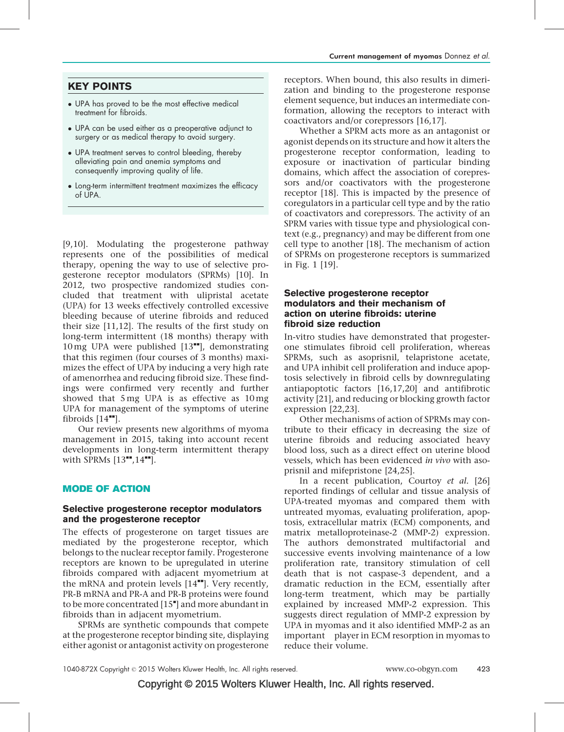# KEY POINTS

- UPA has proved to be the most effective medical treatment for fibroids.
- UPA can be used either as a preoperative adjunct to surgery or as medical therapy to avoid surgery.
- UPA treatment serves to control bleeding, thereby alleviating pain and anemia symptoms and consequently improving quality of life.
- Long-term intermittent treatment maximizes the efficacy of UPA.

[\[9,10\].](#page-8-0) Modulating the progesterone pathway represents one of the possibilities of medical therapy, opening the way to use of selective progesterone receptor modulators (SPRMs) [\[10\]](#page-8-0). In 2012, two prospective randomized studies concluded that treatment with ulipristal acetate (UPA) for 13 weeks effectively controlled excessive bleeding because of uterine fibroids and reduced their size [\[11,12\]](#page-8-0). The results of the first study on long-term intermittent (18 months) therapy with 10 mg UPA were published  $[13"$  $[13"$ , demonstrating that this regimen (four courses of 3 months) maximizes the effect of UPA by inducing a very high rate of amenorrhea and reducing fibroid size. These findings were confirmed very recently and further showed that 5 mg UPA is as effective as 10 mg UPA for management of the symptoms of uterine fibroids  $[14$ <sup> $\text{m}$ </sup>[\].](#page-8-0)

Our review presents new algorithms of myoma management in 2015, taking into account recent developments in long-term intermittent therapy with SPRMs  $[13"$  $[13"$ ,  $14"$ [\].](#page-8-0)

## MODE OF ACTION

## Selective progesterone receptor modulators and the progesterone receptor

The effects of progesterone on target tissues are mediated by the progesterone receptor, which belongs to the nuclear receptor family. Progesterone receptors are known to be upregulated in uterine fibroids compared with adjacent myometrium at the mRNA and protein levels  $[14$ <sup> $H$ </sup>[\].](#page-8-0) Very recently, PR-B mRNA and PR-A and PR-B proteins were found to be more concentrated [\[15](#page-8-0)"[\]](#page-8-0) and more abundant in fibroids than in adjacent myometrium.

SPRMs are synthetic compounds that compete at the progesterone receptor binding site, displaying either agonist or antagonist activity on progesterone receptors. When bound, this also results in dimerization and binding to the progesterone response element sequence, but induces an intermediate conformation, allowing the receptors to interact with coactivators and/or corepressors [\[16,17\].](#page-8-0)

Whether a SPRM acts more as an antagonist or agonist depends on its structure and how it alters the progesterone receptor conformation, leading to exposure or inactivation of particular binding domains, which affect the association of corepressors and/or coactivators with the progesterone receptor [\[18\]](#page-8-0). This is impacted by the presence of coregulators in a particular cell type and by the ratio of coactivators and corepressors. The activity of an SPRM varies with tissue type and physiological context (e.g., pregnancy) and may be different from one cell type to another [\[18\]](#page-8-0). The mechanism of action of SPRMs on progesterone receptors is summarized in Fig. 1 [\[19\].](#page-8-0)

## Selective progesterone receptor modulators and their mechanism of action on uterine fibroids: uterine fibroid size reduction

In-vitro studies have demonstrated that progesterone stimulates fibroid cell proliferation, whereas SPRMs, such as asoprisnil, telapristone acetate, and UPA inhibit cell proliferation and induce apoptosis selectively in fibroid cells by downregulating antiapoptotic factors [\[16,17,20\]](#page-8-0) and antifibrotic activity [\[21\],](#page-9-0) and reducing or blocking growth factor expression [\[22,23\].](#page-9-0)

Other mechanisms of action of SPRMs may contribute to their efficacy in decreasing the size of uterine fibroids and reducing associated heavy blood loss, such as a direct effect on uterine blood vessels, which has been evidenced in vivo with asoprisnil and mifepristone [\[24,25\]](#page-9-0).

In a recent publication, Courtoy et al. [\[26\]](#page-9-0) reported findings of cellular and tissue analysis of UPA-treated myomas and compared them with untreated myomas, evaluating proliferation, apoptosis, extracellular matrix (ECM) components, and matrix metalloproteinase-2 (MMP-2) expression. The authors demonstrated multifactorial and successive events involving maintenance of a low proliferation rate, transitory stimulation of cell death that is not caspase-3 dependent, and a dramatic reduction in the ECM, essentially after long-term treatment, which may be partially explained by increased MMP-2 expression. This suggests direct regulation of MMP-2 expression by UPA in myomas and it also identified MMP-2 as an important player in ECM resorption in myomas to reduce their volume.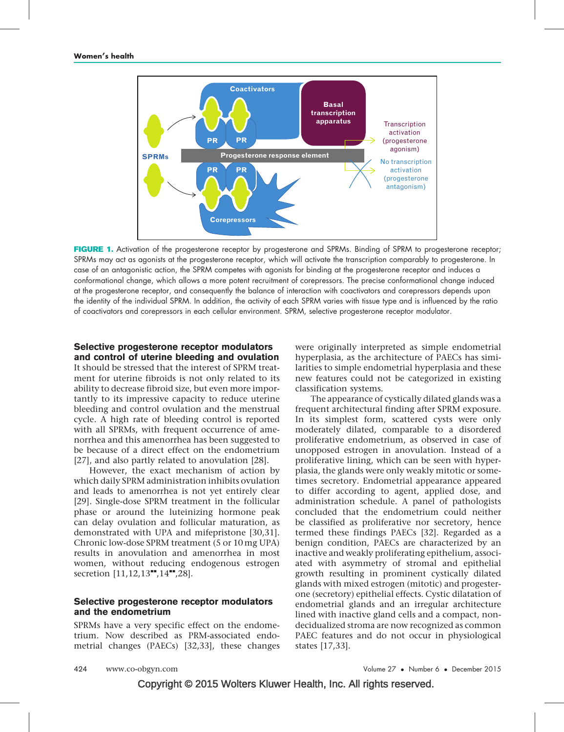

FIGURE 1. Activation of the progesterone receptor by progesterone and SPRMs. Binding of SPRM to progesterone receptor; SPRMs may act as agonists at the progesterone receptor, which will activate the transcription comparably to progesterone. In case of an antagonistic action, the SPRM competes with agonists for binding at the progesterone receptor and induces a conformational change, which allows a more potent recruitment of corepressors. The precise conformational change induced at the progesterone receptor, and consequently the balance of interaction with coactivators and corepressors depends upon the identity of the individual SPRM. In addition, the activity of each SPRM varies with tissue type and is influenced by the ratio of coactivators and corepressors in each cellular environment. SPRM, selective progesterone receptor modulator.

# Selective progesterone receptor modulators and control of uterine bleeding and ovulation

It should be stressed that the interest of SPRM treatment for uterine fibroids is not only related to its ability to decrease fibroid size, but even more importantly to its impressive capacity to reduce uterine bleeding and control ovulation and the menstrual cycle. A high rate of bleeding control is reported with all SPRMs, with frequent occurrence of amenorrhea and this amenorrhea has been suggested to be because of a direct effect on the endometrium [\[27\],](#page-9-0) and also partly related to anovulation [\[28\].](#page-9-0)

However, the exact mechanism of action by which daily SPRM administration inhibits ovulation and leads to amenorrhea is not yet entirely clear [\[29\].](#page-9-0) Single-dose SPRM treatment in the follicular phase or around the luteinizing hormone peak can delay ovulation and follicular maturation, as demonstrated with UPA and mifepristone [\[30,31\].](#page-9-0) Chronic low-dose SPRM treatment (5 or 10 mg UPA) results in anovulation and amenorrhea in most women, without reducing endogenous estrogen secretion [\[11,12,13](#page-8-0)<sup>\*\*</sup>[,14](#page-8-0)<sup>\*\*</sup>[,28\]](#page-8-0).

## Selective progesterone receptor modulators and the endometrium

SPRMs have a very specific effect on the endometrium. Now described as PRM-associated endometrial changes (PAECs) [\[32,33\]](#page-9-0), these changes were originally interpreted as simple endometrial hyperplasia, as the architecture of PAECs has similarities to simple endometrial hyperplasia and these new features could not be categorized in existing classification systems.

The appearance of cystically dilated glands was a frequent architectural finding after SPRM exposure. In its simplest form, scattered cysts were only moderately dilated, comparable to a disordered proliferative endometrium, as observed in case of unopposed estrogen in anovulation. Instead of a proliferative lining, which can be seen with hyperplasia, the glands were only weakly mitotic or sometimes secretory. Endometrial appearance appeared to differ according to agent, applied dose, and administration schedule. A panel of pathologists concluded that the endometrium could neither be classified as proliferative nor secretory, hence termed these findings PAECs [\[32\].](#page-9-0) Regarded as a benign condition, PAECs are characterized by an inactive and weakly proliferating epithelium, associated with asymmetry of stromal and epithelial growth resulting in prominent cystically dilated glands with mixed estrogen (mitotic) and progesterone (secretory) epithelial effects. Cystic dilatation of endometrial glands and an irregular architecture lined with inactive gland cells and a compact, nondecidualized stroma are now recognized as common PAEC features and do not occur in physiological states [\[17,33\]](#page-8-0).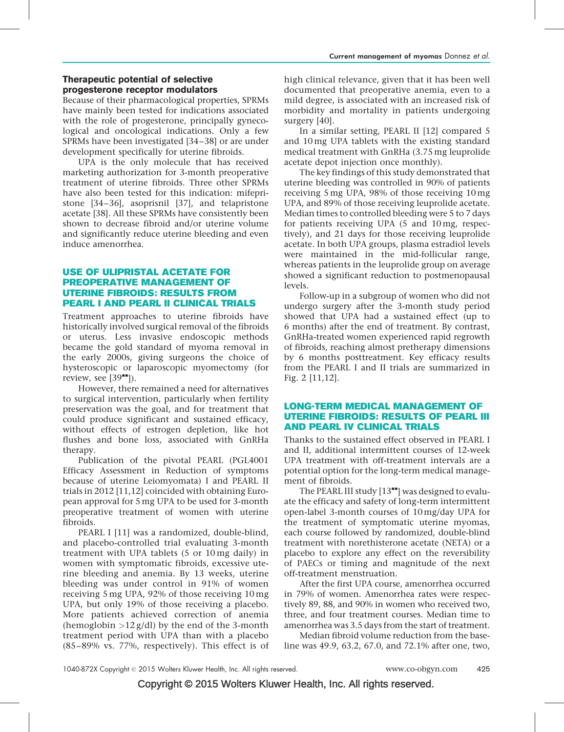# Therapeutic potential of selective progesterone receptor modulators

Because of their pharmacological properties, SPRMs have mainly been tested for indications associated with the role of progesterone, principally gynecological and oncological indications. Only a few SPRMs have been investigated [\[34–38\]](#page-9-0) or are under development specifically for uterine fibroids.

UPA is the only molecule that has received marketing authorization for 3-month preoperative treatment of uterine fibroids. Three other SPRMs have also been tested for this indication: mifepristone [\[34–36\]](#page-9-0), asoprisnil [\[37\],](#page-9-0) and telapristone acetate [\[38\].](#page-9-0) All these SPRMs have consistently been shown to decrease fibroid and/or uterine volume and significantly reduce uterine bleeding and even induce amenorrhea.

## USE OF ULIPRISTAL ACETATE FOR PREOPERATIVE MANAGEMENT OF UTERINE FIBROIDS: RESULTS FROM PEARL I AND PEARL II CLINICAL TRIALS

Treatment approaches to uterine fibroids have historically involved surgical removal of the fibroids or uterus. Less invasive endoscopic methods became the gold standard of myoma removal in the early 2000s, giving surgeons the choice of hysteroscopic or laparoscopic myomectomy (for review, see  $[39$ <sup> $\blacksquare$ </sup>).

However, there remained a need for alternatives to surgical intervention, particularly when fertility preservation was the goal, and for treatment that could produce significant and sustained efficacy, without effects of estrogen depletion, like hot flushes and bone loss, associated with GnRHa therapy.

Publication of the pivotal PEARL (PGL4001 Efficacy Assessment in Reduction of symptoms because of uterine Leiomyomata) I and PEARL II trials in 2012 [\[11,12\]](#page-8-0) coincided with obtaining European approval for 5 mg UPA to be used for 3-month preoperative treatment of women with uterine fibroids.

PEARL I [\[11\]](#page-8-0) was a randomized, double-blind, and placebo-controlled trial evaluating 3-month treatment with UPA tablets (5 or 10 mg daily) in women with symptomatic fibroids, excessive uterine bleeding and anemia. By 13 weeks, uterine bleeding was under control in 91% of women receiving 5 mg UPA, 92% of those receiving 10 mg UPA, but only 19% of those receiving a placebo. More patients achieved correction of anemia (hemoglobin  $>12$  g/dl) by the end of the 3-month treatment period with UPA than with a placebo (85–89% vs. 77%, respectively). This effect is of high clinical relevance, given that it has been well documented that preoperative anemia, even to a mild degree, is associated with an increased risk of morbidity and mortality in patients undergoing surgery [\[40\].](#page-9-0)

In a similar setting, PEARL II [\[12\]](#page-8-0) compared 5 and 10 mg UPA tablets with the existing standard medical treatment with GnRHa (3.75 mg leuprolide acetate depot injection once monthly).

The key findings of this study demonstrated that uterine bleeding was controlled in 90% of patients receiving 5 mg UPA, 98% of those receiving 10 mg UPA, and 89% of those receiving leuprolide acetate. Median times to controlled bleeding were 5 to 7 days for patients receiving UPA (5 and 10 mg, respectively), and 21 days for those receiving leuprolide acetate. In both UPA groups, plasma estradiol levels were maintained in the mid-follicular range, whereas patients in the leuprolide group on average showed a significant reduction to postmenopausal levels.

Follow-up in a subgroup of women who did not undergo surgery after the 3-month study period showed that UPA had a sustained effect (up to 6 months) after the end of treatment. By contrast, GnRHa-treated women experienced rapid regrowth of fibroids, reaching almost pretherapy dimensions by 6 months posttreatment. Key efficacy results from the PEARL I and II trials are summarized in Fig. 2 [\[11,12\]](#page-8-0).

## LONG-TERM MEDICAL MANAGEMENT OF UTERINE FIBROIDS: RESULTS OF PEARL III AND PEARL IV CLINICAL TRIALS

Thanks to the sustained effect observed in PEARL I and II, additional intermittent courses of 12-week UPA treatment with off-treatment intervals are a potential option for the long-term medical management of fibroids.

The PEARL III study  $[13"']$  $[13"']$  $[13"']$  was designed to evaluate the efficacy and safety of long-term intermittent open-label 3-month courses of 10 mg/day UPA for the treatment of symptomatic uterine myomas, each course followed by randomized, double-blind treatment with norethisterone acetate (NETA) or a placebo to explore any effect on the reversibility of PAECs or timing and magnitude of the next off-treatment menstruation.

After the first UPA course, amenorrhea occurred in 79% of women. Amenorrhea rates were respectively 89, 88, and 90% in women who received two, three, and four treatment courses. Median time to amenorrhea was 3.5 days from the start of treatment.

Median fibroid volume reduction from the baseline was 49.9, 63.2, 67.0, and 72.1% after one, two,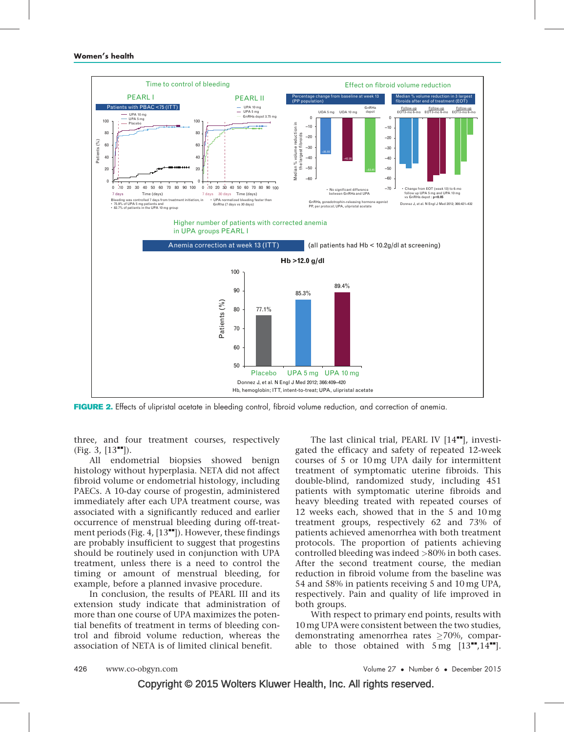

FIGURE 2. Effects of ulipristal acetate in bleeding control, fibroid volume reduction, and correction of anemia.

three, and four treatment courses, respectively  $(Fig. 3, [13<sup>'''</sup>]).$  $(Fig. 3, [13<sup>'''</sup>]).$  $(Fig. 3, [13<sup>'''</sup>]).$  $(Fig. 3, [13<sup>'''</sup>]).$  $(Fig. 3, [13<sup>'''</sup>]).$ 

All endometrial biopsies showed benign histology without hyperplasia. NETA did not affect fibroid volume or endometrial histology, including PAECs. A 10-day course of progestin, administered immediately after each UPA treatment course, was associated with a significantly reduced and earlier occurrence of menstrual bleeding during off-treatment periods (Fig. 4,  $[13$ <sup> $\bullet$  $\bullet$ </sup>[\]](#page-8-0)). However, these findings are probably insufficient to suggest that progestins should be routinely used in conjunction with UPA treatment, unless there is a need to control the timing or amount of menstrual bleeding, for example, before a planned invasive procedure.

In conclusion, the results of PEARL III and its extension study indicate that administration of more than one course of UPA maximizes the potential benefits of treatment in terms of bleeding control and fibroid volume reduction, whereas the association of NETA is of limited clinical benefit.

The last clinical trial, PEARL IV  $[14$ <sup> $-$ </sup>, investigated the efficacy and safety of repeated 12-week courses of 5 or 10 mg UPA daily for intermittent treatment of symptomatic uterine fibroids. This double-blind, randomized study, including 451 patients with symptomatic uterine fibroids and heavy bleeding treated with repeated courses of 12 weeks each, showed that in the 5 and 10 mg treatment groups, respectively 62 and 73% of patients achieved amenorrhea with both treatment protocols. The proportion of patients achieving controlled bleeding was indeed >80% in both cases. After the second treatment course, the median reduction in fibroid volume from the baseline was 54 and 58% in patients receiving 5 and 10 mg UPA, respectively. Pain and quality of life improved in both groups.

With respect to primary end points, results with 10 mg UPA were consistent between the two studies, demonstrating amenorrhea rates  $\geq$ 70%, comparable to those obtained with  $5 \text{ mg}$   $[13"$  $[13"$ ,  $14"$ [\]](#page-8-0).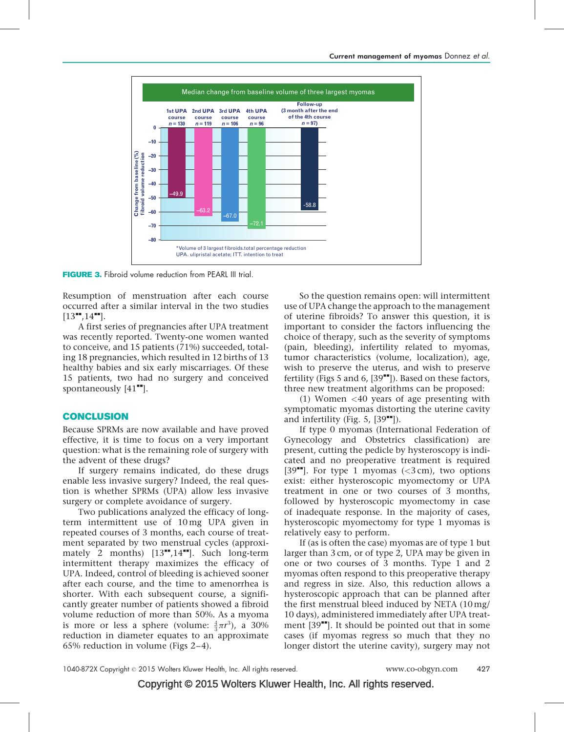

FIGURE 3. Fibroid volume reduction from PEARL III trial.

Resumption of menstruation after each course occurred after a similar interval in the two studies  $[13"$  $[13"$ [,14](#page-8-0)"[\].](#page-8-0)

A first series of pregnancies after UPA treatment was recently reported. Twenty-one women wanted to conceive, and 15 patients (71%) succeeded, totaling 18 pregnancies, which resulted in 12 births of 13 healthy babies and six early miscarriages. Of these 15 patients, two had no surgery and conceived spontaneously  $[41$ <sup> $\text{--}$ </sup>[\]](#page-9-0).

## **CONCLUSION**

Because SPRMs are now available and have proved effective, it is time to focus on a very important question: what is the remaining role of surgery with the advent of these drugs?

If surgery remains indicated, do these drugs enable less invasive surgery? Indeed, the real question is whether SPRMs (UPA) allow less invasive surgery or complete avoidance of surgery.

Two publications analyzed the efficacy of longterm intermittent use of 10 mg UPA given in repeated courses of 3 months, each course of treatment separated by two menstrual cycles (approximately 2 months)  $[13^{\bullet\bullet}, 14^{\bullet\bullet}]$  $[13^{\bullet\bullet}, 14^{\bullet\bullet}]$ . Such long-term intermittent therapy maximizes the efficacy of UPA. Indeed, control of bleeding is achieved sooner after each course, and the time to amenorrhea is shorter. With each subsequent course, a significantly greater number of patients showed a fibroid volume reduction of more than 50%. As a myoma is more or less a sphere (volume:  $\frac{4}{3}\pi r^3$ ), a 30% reduction in diameter equates to an approximate 65% reduction in volume (Figs 2–4).

So the question remains open: will intermittent use of UPA change the approach to the management of uterine fibroids? To answer this question, it is important to consider the factors influencing the choice of therapy, such as the severity of symptoms (pain, bleeding), infertility related to myomas, tumor characteristics (volume, localization), age, wish to preserve the uterus, and wish to preserve fertility (Figs 5 and 6,  $[39$ <sup> $H$ </sup>[\]\)](#page-9-0). Based on these factors, three new treatment algorithms can be proposed:

(1) Women  $\langle 40 \rangle$  years of age presenting with symptomatic myomas distorting the uterine cavity and infertility (Fig. 5,  $[39$ <sup> $\text{m}$ </sup>).

If type 0 myomas (International Federation of Gynecology and Obstetrics classification) are present, cutting the pedicle by hysteroscopy is indicated and no preoperative treatment is required [\[39](#page-9-0) $\text{I}$ [\]](#page-9-0). For type 1 myomas (<3 cm), two options exist: either hysteroscopic myomectomy or UPA treatment in one or two courses of 3 months, followed by hysteroscopic myomectomy in case of inadequate response. In the majority of cases, hysteroscopic myomectomy for type 1 myomas is relatively easy to perform.

If (as is often the case) myomas are of type 1 but larger than 3 cm, or of type 2, UPA may be given in one or two courses of 3 months. Type 1 and 2 myomas often respond to this preoperative therapy and regress in size. Also, this reduction allows a hysteroscopic approach that can be planned after the first menstrual bleed induced by NETA (10 mg/ 10 days), administered immediately after UPA treatment  $[39$ <sup> $\text{m}$ </sup>. It should be pointed out that in some cases (if myomas regress so much that they no longer distort the uterine cavity), surgery may not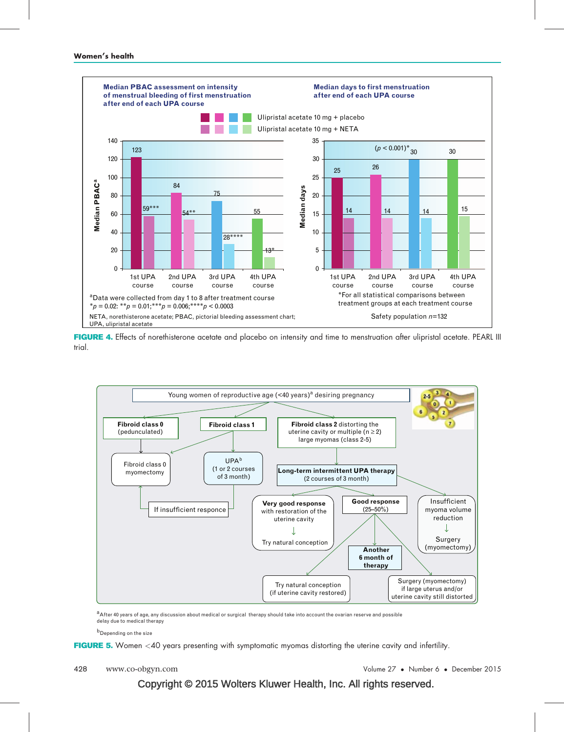

FIGURE 4. Effects of norethisterone acetate and placebo on intensity and time to menstruation after ulipristal acetate. PEARL III trial.



a After 40 years of age, any discussion about medical or surgical therapy should take into account the ovarian reserve and possible delay due to medical therapy

b<br>Depending on the size

FIGURE 5. Women <40 years presenting with symptomatic myomas distorting the uterine cavity and infertility.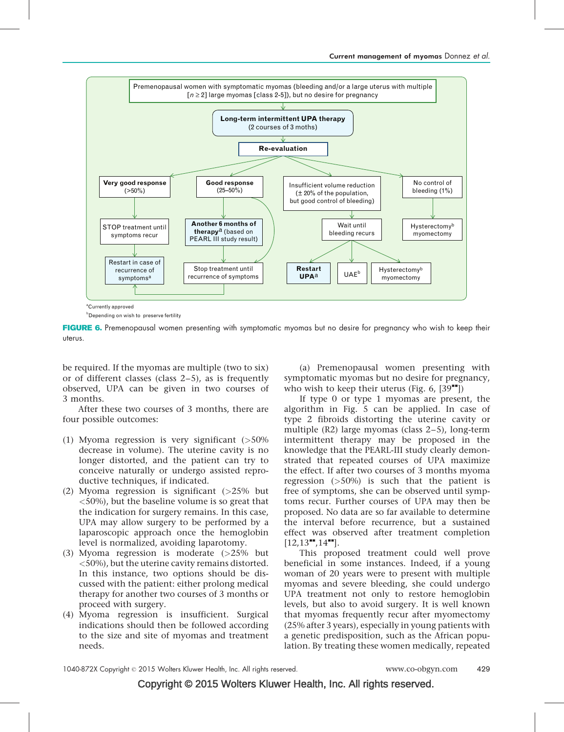

**b** Depending on wish to preserve fertility

FIGURE 6. Premenopausal women presenting with symptomatic myomas but no desire for pregnancy who wish to keep their uterus.

be required. If the myomas are multiple (two to six) or of different classes (class 2–5), as is frequently observed, UPA can be given in two courses of 3 months.

After these two courses of 3 months, there are four possible outcomes:

- (1) Myoma regression is very significant (>50% decrease in volume). The uterine cavity is no longer distorted, and the patient can try to conceive naturally or undergo assisted reproductive techniques, if indicated.
- (2) Myoma regression is significant (>25% but <50%), but the baseline volume is so great that the indication for surgery remains. In this case, UPA may allow surgery to be performed by a laparoscopic approach once the hemoglobin level is normalized, avoiding laparotomy.
- (3) Myoma regression is moderate (>25% but <50%), but the uterine cavity remains distorted. In this instance, two options should be discussed with the patient: either prolong medical therapy for another two courses of 3 months or proceed with surgery.
- (4) Myoma regression is insufficient. Surgical indications should then be followed according to the size and site of myomas and treatment needs.

(a) Premenopausal women presenting with symptomatic myomas but no desire for pregnancy, who wish to keep their uterus (Fig. 6,  $[39$ <sup> $\text{m}$ </sup>[\]](#page-9-0))

If type 0 or type 1 myomas are present, the algorithm in Fig. 5 can be applied. In case of type 2 fibroids distorting the uterine cavity or multiple (R2) large myomas (class 2–5), long-term intermittent therapy may be proposed in the knowledge that the PEARL-III study clearly demonstrated that repeated courses of UPA maximize the effect. If after two courses of 3 months myoma regression  $(50\%)$  is such that the patient is free of symptoms, she can be observed until symptoms recur. Further courses of UPA may then be proposed. No data are so far available to determine the interval before recurrence, but a sustained effect was observed after treatment completion  $[12, 13$ <sup>\*\*</sup>[,14](#page-8-0)<sup>\*\*</sup>[\]](#page-8-0).

This proposed treatment could well prove beneficial in some instances. Indeed, if a young woman of 20 years were to present with multiple myomas and severe bleeding, she could undergo UPA treatment not only to restore hemoglobin levels, but also to avoid surgery. It is well known that myomas frequently recur after myomectomy (25% after 3 years), especially in young patients with a genetic predisposition, such as the African population. By treating these women medically, repeated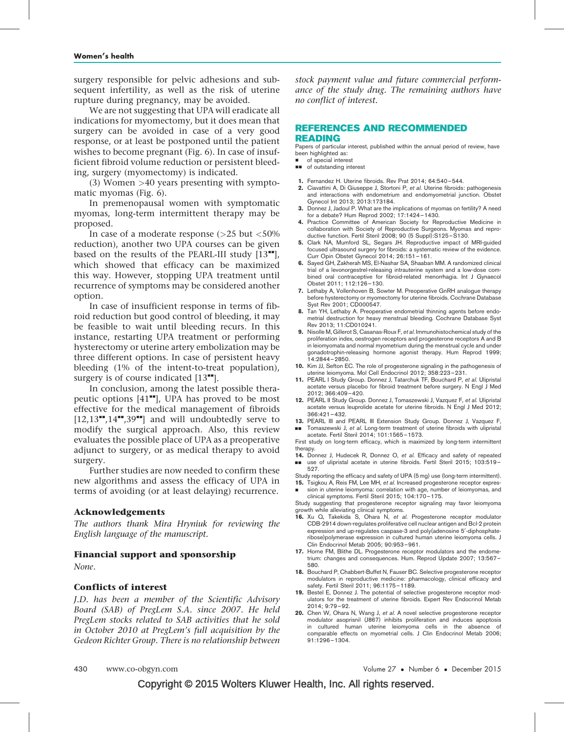<span id="page-8-0"></span>surgery responsible for pelvic adhesions and subsequent infertility, as well as the risk of uterine rupture during pregnancy, may be avoided.

We are not suggesting that UPA will eradicate all indications for myomectomy, but it does mean that surgery can be avoided in case of a very good response, or at least be postponed until the patient wishes to become pregnant (Fig. 6). In case of insufficient fibroid volume reduction or persistent bleeding, surgery (myomectomy) is indicated.

(3) Women >40 years presenting with symptomatic myomas (Fig. 6).

In premenopausal women with symptomatic myomas, long-term intermittent therapy may be proposed.

In case of a moderate response  $(>25$  but  $< 50\%$ reduction), another two UPA courses can be given based on the results of the PEARL-III study  $[13"$ , which showed that efficacy can be maximized this way. However, stopping UPA treatment until recurrence of symptoms may be considered another option.

In case of insufficient response in terms of fibroid reduction but good control of bleeding, it may be feasible to wait until bleeding recurs. In this instance, restarting UPA treatment or performing hysterectomy or uterine artery embolization may be three different options. In case of persistent heavy bleeding (1% of the intent-to-treat population), surgery is of course indicated  $[13"$ .

In conclusion, among the latest possible therapeutic options  $[41$ <sup> $\bullet$ </sup>, UPA has proved to be most effective for the medical management of fibroids  $[12,13^{\bullet\bullet},14^{\bullet\bullet},39^{\bullet\bullet}]$  and will undoubtedly serve to modify the surgical approach. Also, this review evaluates the possible place of UPA as a preoperative adjunct to surgery, or as medical therapy to avoid surgery.

Further studies are now needed to confirm these new algorithms and assess the efficacy of UPA in terms of avoiding (or at least delaying) recurrence.

## Acknowledgements

The authors thank Mira Hryniuk for reviewing the English language of the manuscript.

## Financial support and sponsorship

None.

# Conflicts of interest

J.D. has been a member of the Scientific Advisory Board (SAB) of PregLem S.A. since 2007. He held PregLem stocks related to SAB activities that he sold in October 2010 at PregLem's full acquisition by the Gedeon Richter Group. There is no relationship between

stock payment value and future commercial performance of the study drug. The remaining authors have no conflict of interest.

## REFERENCES AND RECOMMENDED READING

Papers of particular interest, published within the annual period of review, have been highlighted as:

- of special interest
- **B** of outstanding interest
- 1. Fernandez H. Uterine fibroids. Rev Prat 2014; 64:540–544.
- 2. Ciavattini A, Di Giuseppe J, Stortoni P, et al. Uterine fibroids: pathogenesis and interactions with endometrium and endomyometrial junction. Obstet Gynecol Int 2013; 2013:173184.
- 3. Donnez J, Jadoul P. What are the implications of myomas on fertility? A need for a debate? Hum Reprod 2002; 17:1424–1430.
- 4. Practice Committee of American Society for Reproductive Medicine in collaboration with Society of Reproductive Surgeons. Myomas and reproductive function. Fertil Steril 2008; 90 (5 Suppl):S125-S130.
- 5. Clark NA, Mumford SL, Segars JH. Reproductive impact of MRI-guided focused ultrasound surgery for fibroids: a systematic review of the evidence. Curr Opin Obstet Gynecol 2014; 26:151–161.
- 6. Sayed GH, Zakherah MS, El-Nashar SA, Shaaban MM. A randomized clinical trial of a levonorgestrel-releasing intrauterine system and a low-dose combined oral contraceptive for fibroid-related menorrhagia. Int J Gynaecol Obstet 2011; 112:126–130.
- 7. Lethaby A, Vollenhoven B, Sowter M. Preoperative GnRH analogue therapy before hysterectomy or myomectomy for uterine fibroids. Cochrane Database Syst Rev 2001; CD000547.
- 8. Tan YH, Lethaby A. Preoperative endometrial thinning agents before endometrial destruction for heavy menstrual bleeding. Cochrane Database Syst Rev 2013; 11:CD010241.
- 9. Nisolle M, Gillerot S, Casanas-Roux F, et al. Immunohistochemical study of the proliferation index, oestrogen receptors and progesterone receptors A and B in leiomyomata and normal myometrium during the menstrual cycle and under gonadotrophin-releasing hormone agonist therapy. Hum Reprod 1999; 14:2844–2850.
- 10. Kim JJ, Sefton EC. The role of progesterone signaling in the pathogenesis of uterine leiomyoma. Mol Cell Endocrinol 2012; 358:223–231.
- 11. PEARL I Study Group. Donnez J, Tatarchuk TF, Bouchard P, et al. Ulipristal acetate versus placebo for fibroid treatment before surgery. N Engl J Med 2012; 366:409–420.
- 12. PEARL II Study Group. Donnez J, Tomaszewski J, Vazquez F, et al. Ulipristal acetate versus leuprolide acetate for uterine fibroids. N Engl J Med 2012; 366:421–432.
- 13. PEARL III and PEARL III Extension Study Group. Donnez J, Vazquez F, && Tomaszewski J, et al. Long-term treatment of uterine fibroids with ulipristal acetate. Fertil Steril 2014; 101:1565–1573.

First study on long-term efficacy, which is maximized by long-term intermittent therapy.

- 14. Donnez J, Hudecek R, Donnez O, et al. Efficacy and safety of repeated ■■ use of ulipristal acetate in uterine fibroids. Fertil Steril 2015; 103:519-527.
- Study reporting the efficacy and safety of UPA (5 mg) use (long-term intermittent).
- 15. Tsigkou A, Reis FM, Lee MH, et al. Increased progesterone receptor expression in uterine leiomyoma: correlation with age, number of leiomyomas, and
- & clinical symptoms. Fertil Steril 2015; 104:170–175.

Study suggesting that progesterone receptor signaling may favor leiomyoma growth while alleviating clinical symptoms.

- 16. Xu Q, Takekida S, Ohara N, et al. Progesterone receptor modulator CDB-2914 down-regulates proliferative cell nuclear antigen and Bcl-2 protein expression and up-regulates caspase-3 and poly(adenosine 5'-diphosphateribose)polymerase expression in cultured human uterine leiomyoma cells. J Clin Endocrinol Metab 2005; 90:953–961.
- 17. Horne FM, Blithe DL. Progesterone receptor modulators and the endometrium: changes and consequences. Hum. Reprod Update 2007; 13:567– 580.
- 18. Bouchard P, Chabbert-Buffet N, Fauser BC. Selective progesterone receptor modulators in reproductive medicine: pharmacology, clinical efficacy and safety. Fertil Steril 2011; 96:1175–1189.
- 19. Bestel E, Donnez J. The potential of selective progesterone receptor modulators for the treatment of uterine fibroids. Expert Rev Endocrinol Metab 2014; 9:79–92.
- 20. Chen W, Ohara N, Wang J, et al. A novel selective progesterone receptor modulator asoprisnil (J867) inhibits proliferation and induces apoptosis in cultured human uterine leiomyoma cells in the absence of comparable effects on myometrial cells. J Clin Endocrinol Metab 2006; 91:1296–1304.